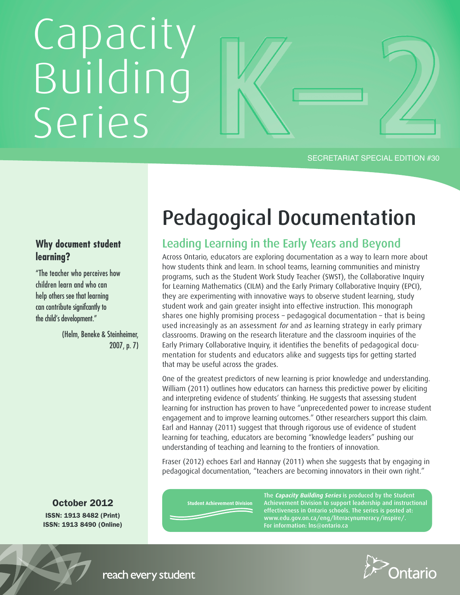# Capacity Building Series

SECRETARIAT SPECIAL EDITION #30

# **Why document student learning?**

"The teacher who perceives how children learn and who can help others see that learning can contribute significantly to the child's development."

> (Helm, Beneke & Steinheimer, 2007, p. 7)

**October 2012 ISSN: 1913 8482 (Print) ISSN: 1913 8490 (Online)**

# **Pedagogical Documentation**

# **Leading Learning in the Early Years and Beyond**

Across Ontario, educators are exploring documentation as a way to learn more about how students think and learn. In school teams, learning communities and ministry programs, such as the Student Work Study Teacher (SWST), the Collaborative Inquiry for Learning Mathematics (CILM) and the Early Primary Collaborative Inquiry (EPCI), they are experimenting with innovative ways to observe student learning, study student work and gain greater insight into effective instruction. This monograph shares one highly promising process – pedagogical documentation – that is being used increasingly as an assessment for and as learning strategy in early primary classrooms. Drawing on the research literature and the classroom inquiries of the Early Primary Collaborative Inquiry, it identifies the benefits of pedagogical documentation for students and educators alike and suggests tips for getting started that may be useful across the grades.

One of the greatest predictors of new learning is prior knowledge and understanding. William (2011) outlines how educators can harness this predictive power by eliciting and interpreting evidence of students' thinking. He suggests that assessing student learning for instruction has proven to have "unprecedented power to increase student engagement and to improve learning outcomes." Other researchers support this claim. Earl and Hannay (2011) suggest that through rigorous use of evidence of student learning for teaching, educators are becoming "knowledge leaders" pushing our understanding of teaching and learning to the frontiers of innovation.

Fraser (2012) echoes Earl and Hannay (2011) when she suggests that by engaging in pedagogical documentation, "teachers are becoming innovators in their own right."

**Student Achievement Division** 

**The Capacity Building Series is produced by the Student Achievement Division to support leadership and instructional effectiveness in Ontario schools. The series is posted at: www.edu.gov.on.ca/eng/literacynumeracy/inspire/. For information: lns@ontario.ca**



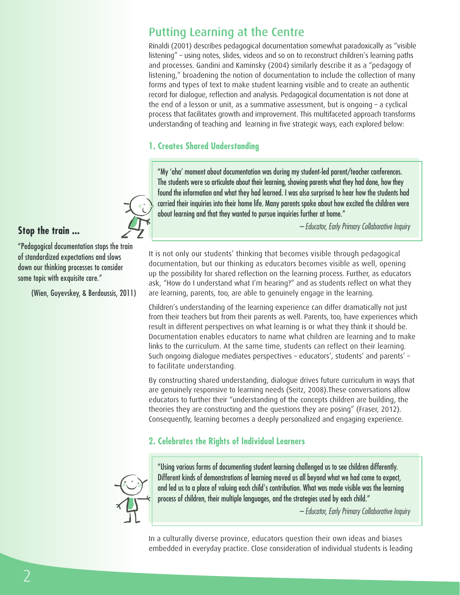# **Putting Learning at the Centre**

Rinaldi (2001) describes pedagogical documentation somewhat paradoxically as "visible listening" – using notes, slides, videos and so on to reconstruct children's learning paths and processes. Gandini and Kaminsky (2004) similarly describe it as a "pedagogy of listening," broadening the notion of documentation to include the collection of many forms and types of text to make student learning visible and to create an authentic record for dialogue, reflection and analysis. Pedagogical documentation is not done at the end of a lesson or unit, as a summative assessment, but is ongoing – a cyclical process that facilitates growth and improvement. This multifaceted approach transforms understanding of teaching and learning in five strategic ways, each explored below:

# **1. Creates Shared Understanding**

"My 'aha' moment about documentation was during my student-led parent/teacher conferences. The students were so articulate about their learning, showing parents what they had done, how they found the information and what they had learned. I was also surprised to hear how the students had carried their inquiries into their home life. Many parents spoke about how excited the children were about learning and that they wanted to pursue inquiries further at home."

*– Educator, Early Primary Collaborative Inquiry*

**Stop the train ...**

"Pedagogical documentation stops the train of standardized expectations and slows down our thinking processes to consider some topic with exquisite care."

(Wien, Guyevskey, & Berdoussis, 2011)

It is not only our students' thinking that becomes visible through pedagogical documentation, but our thinking as educators becomes visible as well, opening up the possibility for shared reflection on the learning process. Further, as educators ask, "How do I understand what I'm hearing?" and as students reflect on what they are learning, parents, too, are able to genuinely engage in the learning.

Children's understanding of the learning experience can differ dramatically not just from their teachers but from their parents as well. Parents, too, have experiences which result in different perspectives on what learning is or what they think it should be. Documentation enables educators to name what children are learning and to make links to the curriculum. At the same time, students can reflect on their learning. Such ongoing dialogue mediates perspectives – educators', students' and parents' – to facilitate understanding.

By constructing shared understanding, dialogue drives future curriculum in ways that are genuinely responsive to learning needs (Seitz, 2008).These conversations allow educators to further their "understanding of the concepts children are building, the theories they are constructing and the questions they are posing" (Fraser, 2012). Consequently, learning becomes a deeply personalized and engaging experience.

# **2. Celebrates the Rights of Individual Learners**



"Using various forms of documenting student learning challenged us to see children differently. Different kinds of demonstrations of learning moved us all beyond what we had come to expect, and led us to a place of valuing each child's contribution. What was made visible was the learning process of children, their multiple languages, and the strategies used by each child."

*– Educator, Early Primary Collaborative Inquiry*

In a culturally diverse province, educators question their own ideas and biases embedded in everyday practice. Close consideration of individual students is leading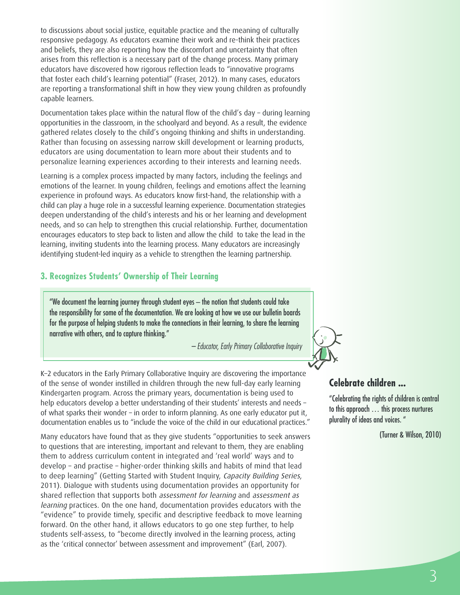to discussions about social justice, equitable practice and the meaning of culturally responsive pedagogy. As educators examine their work and re-think their practices and beliefs, they are also reporting how the discomfort and uncertainty that often arises from this reflection is a necessary part of the change process. Many primary educators have discovered how rigorous reflection leads to "innovative programs that foster each child's learning potential" (Fraser, 2012). In many cases, educators are reporting a transformational shift in how they view young children as profoundly capable learners.

Documentation takes place within the natural flow of the child's day – during learning opportunities in the classroom, in the schoolyard and beyond. As a result, the evidence gathered relates closely to the child's ongoing thinking and shifts in understanding. Rather than focusing on assessing narrow skill development or learning products, educators are using documentation to learn more about their students and to personalize learning experiences according to their interests and learning needs.

Learning is a complex process impacted by many factors, including the feelings and emotions of the learner. In young children, feelings and emotions affect the learning experience in profound ways. As educators know first-hand, the relationship with a child can play a huge role in a successful learning experience. Documentation strategies deepen understanding of the child's interests and his or her learning and development needs, and so can help to strengthen this crucial relationship. Further, documentation encourages educators to step back to listen and allow the child to take the lead in the learning, inviting students into the learning process. Many educators are increasingly identifying student-led inquiry as a vehicle to strengthen the learning partnership.

#### **3. Recognizes Students' Ownership of Their Learning**

"We document the learning journey through student eyes – the notion that students could take the responsibility for some of the documentation. We are looking at how we use our bulletin boards for the purpose of helping students to make the connections in their learning, to share the learning narrative with others, and to capture thinking."

*– Educator, Early Primary Collaborative Inquiry*

K–2 educators in the Early Primary Collaborative Inquiry are discovering the importance of the sense of wonder instilled in children through the new full-day early learning Kindergarten program. Across the primary years, documentation is being used to help educators develop a better understanding of their students' interests and needs – of what sparks their wonder – in order to inform planning. As one early educator put it, documentation enables us to "include the voice of the child in our educational practices."

Many educators have found that as they give students "opportunities to seek answers to questions that are interesting, important and relevant to them, they are enabling them to address curriculum content in integrated and 'real world' ways and to develop – and practise – higher-order thinking skills and habits of mind that lead to deep learning" (Getting Started with Student Inquiry, Capacity Building Series, 2011). Dialogue with students using documentation provides an opportunity for shared reflection that supports both assessment for learning and assessment as learning practices. On the one hand, documentation provides educators with the "evidence" to provide timely, specific and descriptive feedback to move learning forward. On the other hand, it allows educators to go one step further, to help students self-assess, to "become directly involved in the learning process, acting as the 'critical connector' between assessment and improvement" (Earl, 2007).



# **Celebrate children ...**

"Celebrating the rights of children is central to this approach … this process nurtures plurality of ideas and voices. "

(Turner & Wilson, 2010)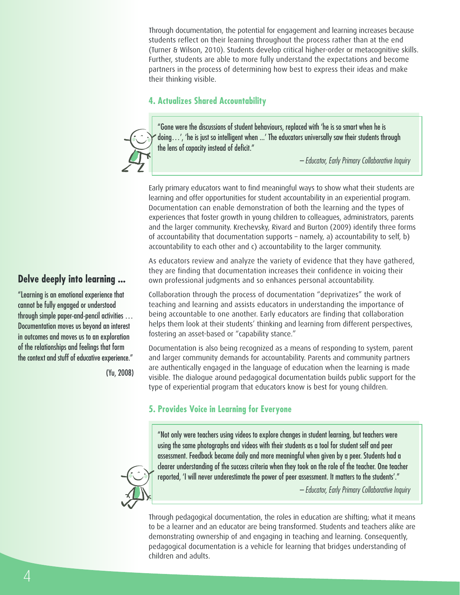Through documentation, the potential for engagement and learning increases because students reflect on their learning throughout the process rather than at the end (Turner & Wilson, 2010). Students develop critical higher-order or metacognitive skills. Further, students are able to more fully understand the expectations and become partners in the process of determining how best to express their ideas and make their thinking visible.

### **4. Actualizes Shared Accountability**



*– Educator, Early Primary Collaborative Inquiry*

Early primary educators want to find meaningful ways to show what their students are learning and offer opportunities for student accountability in an experiential program. Documentation can enable demonstration of both the learning and the types of experiences that foster growth in young children to colleagues, administrators, parents and the larger community. Krechevsky, Rivard and Burton (2009) identify three forms of accountability that documentation supports – namely, a) accountability to self, b) accountability to each other and c) accountability to the larger community.

As educators review and analyze the variety of evidence that they have gathered, they are finding that documentation increases their confidence in voicing their own professional judgments and so enhances personal accountability.

Collaboration through the process of documentation "deprivatizes" the work of teaching and learning and assists educators in understanding the importance of being accountable to one another. Early educators are finding that collaboration helps them look at their students' thinking and learning from different perspectives, fostering an asset-based or "capability stance."

Documentation is also being recognized as a means of responding to system, parent and larger community demands for accountability. Parents and community partners are authentically engaged in the language of education when the learning is made visible. The dialogue around pedagogical documentation builds public support for the type of experiential program that educators know is best for young children.

# **5. Provides Voice in Learning for Everyone**

"Not only were teachers using videos to explore changes in student learning, but teachers were using the same photographs and videos with their students as a tool for student self and peer assessment. Feedback became daily and more meaningful when given by a peer. Students had a clearer understanding of the success criteria when they took on the role of the teacher. One teacher reported, 'I will never underestimate the power of peer assessment. It matters to the students'."

*– Educator, Early Primary Collaborative Inquiry*

Through pedagogical documentation, the roles in education are shifting; what it means to be a learner and an educator are being transformed. Students and teachers alike are demonstrating ownership of and engaging in teaching and learning. Consequently, pedagogical documentation is a vehicle for learning that bridges understanding of children and adults.

# **Delve deeply into learning ...**

"Learning is an emotional experience that cannot be fully engaged or understood through simple paper-and-pencil activities … Documentation moves us beyond an interest in outcomes and moves us to an exploration of the relationships and feelings that form the context and stuff of educative experience."

(Yu, 2008)

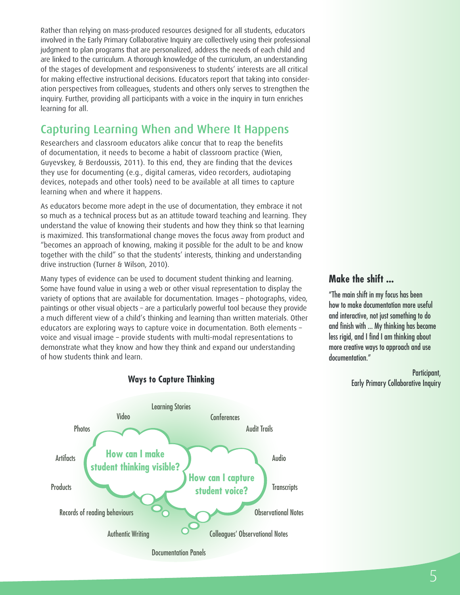Rather than relying on mass-produced resources designed for all students, educators involved in the Early Primary Collaborative Inquiry are collectively using their professional judgment to plan programs that are personalized, address the needs of each child and are linked to the curriculum. A thorough knowledge of the curriculum, an understanding of the stages of development and responsiveness to students' interests are all critical for making effective instructional decisions. Educators report that taking into consideration perspectives from colleagues, students and others only serves to strengthen the inquiry. Further, providing all participants with a voice in the inquiry in turn enriches learning for all.

# **Capturing Learning When and Where It Happens**

Researchers and classroom educators alike concur that to reap the benefits of documentation, it needs to become a habit of classroom practice (Wien, Guyevskey, & Berdoussis, 2011). To this end, they are finding that the devices they use for documenting (e.g., digital cameras, video recorders, audiotaping devices, notepads and other tools) need to be available at all times to capture learning when and where it happens.

As educators become more adept in the use of documentation, they embrace it not so much as a technical process but as an attitude toward teaching and learning. They understand the value of knowing their students and how they think so that learning is maximized. This transformational change moves the focus away from product and "becomes an approach of knowing, making it possible for the adult to be and know together with the child" so that the students' interests, thinking and understanding drive instruction (Turner & Wilson, 2010).

Many types of evidence can be used to document student thinking and learning. Some have found value in using a web or other visual representation to display the variety of options that are available for documentation. Images – photographs, video, paintings or other visual objects – are a particularly powerful tool because they provide a much different view of a child's thinking and learning than written materials. Other educators are exploring ways to capture voice in documentation. Both elements – voice and visual image – provide students with multi-modal representations to demonstrate what they know and how they think and expand our understanding of how students think and learn.



#### **Ways to Capture Thinking**

# **Make the shift ...**

"The main shift in my focus has been how to make documentation more useful and interactive, not just something to do and finish with ... My thinking has become less rigid, and I find I am thinking about more creative ways to approach and use documentation."

> Participant, Early Primary Collaborative Inquiry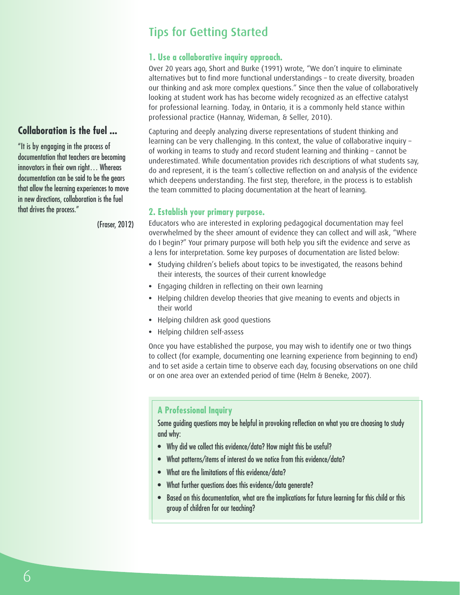# **Tips for Getting Started**

## **1. Use a collaborative inquiry approach.**

Over 20 years ago, Short and Burke (1991) wrote, "We don't inquire to eliminate alternatives but to find more functional understandings – to create diversity, broaden our thinking and ask more complex questions." Since then the value of collaboratively looking at student work has has become widely recognized as an effective catalyst for professional learning. Today, in Ontario, it is a commonly held stance within professional practice (Hannay, Wideman, & Seller, 2010).

Capturing and deeply analyzing diverse representations of student thinking and learning can be very challenging. In this context, the value of collaborative inquiry – of working in teams to study and record student learning and thinking – cannot be underestimated. While documentation provides rich descriptions of what students say, do and represent, it is the team's collective reflection on and analysis of the evidence which deepens understanding. The first step, therefore, in the process is to establish the team committed to placing documentation at the heart of learning.

#### **2. Establish your primary purpose.**

Educators who are interested in exploring pedagogical documentation may feel overwhelmed by the sheer amount of evidence they can collect and will ask, "Where do I begin?" Your primary purpose will both help you sift the evidence and serve as a lens for interpretation. Some key purposes of documentation are listed below:

- **•** Studying children's beliefs about topics to be investigated, the reasons behind their interests, the sources of their current knowledge
- **•** Engaging children in reflecting on their own learning
- **•** Helping children develop theories that give meaning to events and objects in their world
- **•** Helping children ask good questions
- **•** Helping children self-assess

Once you have established the purpose, you may wish to identify one or two things to collect (for example, documenting one learning experience from beginning to end) and to set aside a certain time to observe each day, focusing observations on one child or on one area over an extended period of time (Helm & Beneke, 2007).

#### **A Professional Inquiry**

Some guiding questions may be helpful in provoking reflection on what you are choosing to study and why:

- Why did we collect this evidence/data? How might this be useful?
- What patterns/items of interest do we notice from this evidence/data?
- What are the limitations of this evidence/data?
- What further questions does this evidence/data generate?
- Based on this documentation, what are the implications for future learning for this child or this group of children for our teaching?

# **Collaboration is the fuel ...**

"It is by engaging in the process of documentation that teachers are becoming innovators in their own right… Whereas documentation can be said to be the gears that allow the learning experiences to move in new directions, collaboration is the fuel that drives the process."

(Fraser, 2012)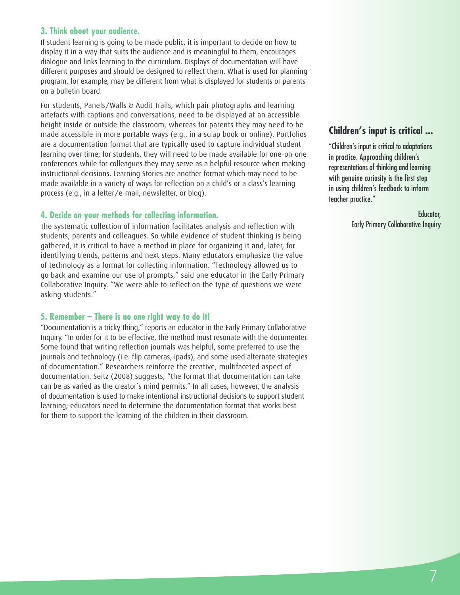#### **3. Think about your audience.**

If student learning is going to be made public, it is important to decide on how to display it in a way that suits the audience and is meaningful to them, encourages dialogue and links learning to the curriculum. Displays of documentation will have different purposes and should be designed to reflect them. What is used for planning program, for example, may be different from what is displayed for students or parents on a bulletin board.

For students, Panels/Walls & Audit Trails, which pair photographs and learning artefacts with captions and conversations, need to be displayed at an accessible height inside or outside the classroom, whereas for parents they may need to be made accessible in more portable ways (e.g., in a scrap book or online). Portfolios are a documentation format that are typically used to capture individual student learning over time; for students, they will need to be made available for one-on-one conferences while for colleagues they may serve as a helpful resource when making instructional decisions. Learning Stories are another format which may need to be made available in a variety of ways for reflection on a child's or a class's learning process (e.g., in a letter/e-mail, newsletter, or blog).

#### **4. Decide on your methods for collecting information.**

The systematic collection of information facilitates analysis and reflection with students, parents and colleagues. So while evidence of student thinking is being gathered, it is critical to have a method in place for organizing it and, later, for identifying trends, patterns and next steps. Many educators emphasize the value of technology as a format for collecting information. "Technology allowed us to go back and examine our use of prompts," said one educator in the Early Primary Collaborative Inquiry. "We were able to reflect on the type of questions we were asking students."

#### **5. Remember – There is no one right way to do it!**

"Documentation is a tricky thing," reports an educator in the Early Primary Collaborative Inquiry. "In order for it to be effective, the method must resonate with the documenter. Some found that writing reflection journals was helpful, some preferred to use the journals and technology (i.e. flip cameras, ipads), and some used alternate strategies of documentation." Researchers reinforce the creative, multifaceted aspect of documentation. Seitz (2008) suggests, "the format that documentation can take can be as varied as the creator's mind permits." In all cases, however, the analysis of documentation is used to make intentional instructional decisions to support student learning; educators need to determine the documentation format that works best for them to support the learning of the children in their classroom.

# **Children's input is critical ...**

"Children's input is critical to adaptations in practice. Approaching children's representations of thinking and learning with genuine curiosity is the first step in using children's feedback to inform teacher practice."

> Educator, Early Primary Collaborative Inquiry